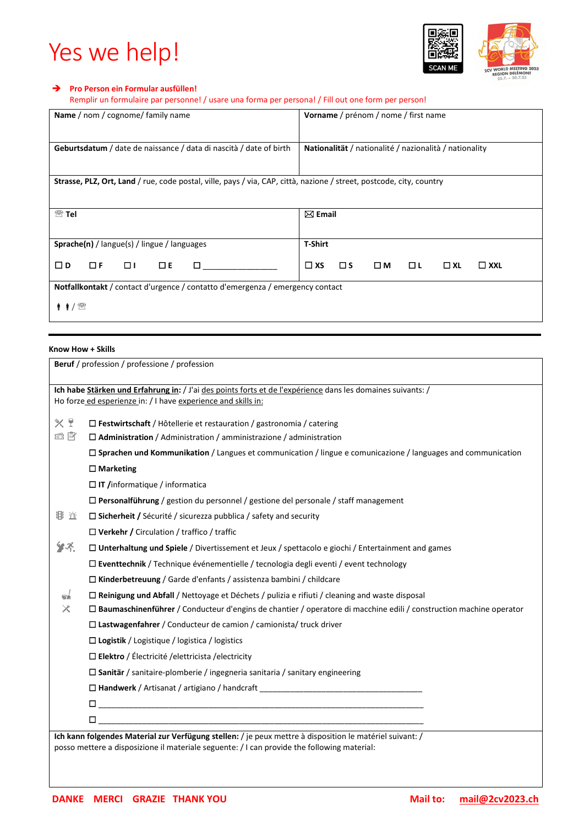# Yes we help!



### **Pro Person ein Formular ausfüllen!**

Remplir un formulaire par personne! / usare una forma per persona! / Fill out one form per person!

| Name / nom / cognome/ family name                                                                                    | Vorname / prénom / nome / first name                                 |  |  |  |  |  |  |  |
|----------------------------------------------------------------------------------------------------------------------|----------------------------------------------------------------------|--|--|--|--|--|--|--|
| <b>Geburtsdatum</b> / date de naissance / data di nascità / date of birth                                            | Nationalität / nationalité / nazionalità / nationality               |  |  |  |  |  |  |  |
| Strasse, PLZ, Ort, Land / rue, code postal, ville, pays / via, CAP, città, nazione / street, postcode, city, country |                                                                      |  |  |  |  |  |  |  |
| $^{\circledR}$ Tel                                                                                                   | $\boxtimes$ Email                                                    |  |  |  |  |  |  |  |
| <b>Sprache(n)</b> / langue(s) / lingue / languages                                                                   | <b>T-Shirt</b>                                                       |  |  |  |  |  |  |  |
| $\Box$ D<br>$\Box F$<br>$\Box$ $\Box$<br>$\square$ E<br>п                                                            | O LI<br>$\square$ XS<br>Πм<br>$\square$ s<br>$\Box$ XL<br>$\Box$ XXL |  |  |  |  |  |  |  |
| Notfallkontakt / contact d'urgence / contatto d'emergenza / emergency contact                                        |                                                                      |  |  |  |  |  |  |  |
| † †⁄ ®                                                                                                               |                                                                      |  |  |  |  |  |  |  |

## **Know How + Skills**

|               | Beruf / profession / professione / profession                                                                                                                                                           |  |  |  |  |  |  |  |
|---------------|---------------------------------------------------------------------------------------------------------------------------------------------------------------------------------------------------------|--|--|--|--|--|--|--|
|               | Ich habe Stärken und Erfahrung in: / J'ai des points forts et de l'expérience dans les domaines suivants: /<br>Ho forze ed esperienze in: / I have experience and skills in:                            |  |  |  |  |  |  |  |
| $X$ !         | □ Festwirtschaft / Hôtellerie et restauration / gastronomia / catering                                                                                                                                  |  |  |  |  |  |  |  |
| e È           | $\Box$ Administration / Administration / amministrazione / administration                                                                                                                               |  |  |  |  |  |  |  |
|               | $\Box$ Sprachen und Kommunikation / Langues et communication / lingue e comunicazione / languages and communication                                                                                     |  |  |  |  |  |  |  |
|               | $\Box$ Marketing                                                                                                                                                                                        |  |  |  |  |  |  |  |
|               | $\Box$ IT /informatique / informatica                                                                                                                                                                   |  |  |  |  |  |  |  |
|               | $\Box$ Personalführung / gestion du personnel / gestione del personale / staff management                                                                                                               |  |  |  |  |  |  |  |
| お 近           | $\Box$ Sicherheit / Sécurité / sicurezza pubblica / safety and security                                                                                                                                 |  |  |  |  |  |  |  |
|               | $\Box$ Verkehr / Circulation / traffico / traffic                                                                                                                                                       |  |  |  |  |  |  |  |
| $\mathcal{F}$ | □ Unterhaltung und Spiele / Divertissement et Jeux / spettacolo e giochi / Entertainment and games                                                                                                      |  |  |  |  |  |  |  |
|               | $\Box$ Eventtechnik / Technique événementielle / tecnologia degli eventi / event technology                                                                                                             |  |  |  |  |  |  |  |
|               | $\Box$ Kinderbetreuung / Garde d'enfants / assistenza bambini / childcare                                                                                                                               |  |  |  |  |  |  |  |
| er            | $\Box$ Reinigung und Abfall / Nettoyage et Déchets / pulizia e rifiuti / cleaning and waste disposal                                                                                                    |  |  |  |  |  |  |  |
| ✕             | $\Box$ Baumaschinenführer / Conducteur d'engins de chantier / operatore di macchine edili / construction machine operator                                                                               |  |  |  |  |  |  |  |
|               | $\Box$ Lastwagenfahrer / Conducteur de camion / camionista/ truck driver                                                                                                                                |  |  |  |  |  |  |  |
|               | $\Box$ Logistik / Logistique / logistica / logistics                                                                                                                                                    |  |  |  |  |  |  |  |
|               | $\Box$ Elektro / Électricité / elettricista / electricity                                                                                                                                               |  |  |  |  |  |  |  |
|               | $\Box$ Sanitär / sanitaire-plomberie / ingegneria sanitaria / sanitary engineering                                                                                                                      |  |  |  |  |  |  |  |
|               | $\square$ Handwerk / Artisanat / artigiano / handcraft                                                                                                                                                  |  |  |  |  |  |  |  |
|               |                                                                                                                                                                                                         |  |  |  |  |  |  |  |
|               |                                                                                                                                                                                                         |  |  |  |  |  |  |  |
|               | Ich kann folgendes Material zur Verfügung stellen: / je peux mettre à disposition le matériel suivant: /<br>posso mettere a disposizione il materiale seguente: / I can provide the following material: |  |  |  |  |  |  |  |